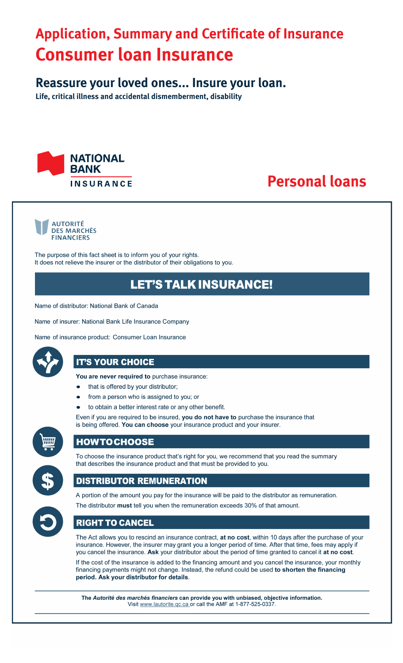# **Application, Summary and Certificate of Insurance Consumer loan Insurance**

# **Reassure your loved ones... Insure your loan.**

**Life, critical illness and accidental dismemberment, disability**



# **Personal loans**



The purpose of this fact sheet is to inform you of your rights. It does not relieve the insurer or the distributor of their obligations to you.

# **LET'S TALK INSURANCE!**

Name of distributor: National Bank of Canada

Name of insurer: National Bank Life Insurance Company

Name of insurance product: Consumer Loan Insurance



# **IT'S YOUR CHOICE**

You are never required to purchase insurance:

- that is offered by your distributor;
- from a person who is assigned to you; or
- to obtain a better interest rate or any other benefit.

Even if you are required to be insured, you do not have to purchase the insurance that is being offered. You can choose your insurance product and your insurer.



# **HOWTOCHOOSE**



# To choose the insurance product that's right for you, we recommend that you read the summary that describes the insurance product and that must be provided to you.

# **DISTRIBUTOR REMUNERATION**



A portion of the amount you pay for the insurance will be paid to the distributor as remuneration. The distributor must tell you when the remuneration exceeds 30% of that amount.

# **RIGHT TO CANCEL**

The Act allows you to rescind an insurance contract, at no cost, within 10 days after the purchase of your insurance. However, the insurer may grant you a longer period of time. After that time, fees may apply if you cancel the insurance. Ask your distributor about the period of time granted to cancel it at no cost.

If the cost of the insurance is added to the financing amount and you cancel the insurance, your monthly financing payments might not change. Instead, the refund could be used to shorten the financing period. Ask your distributor for details.

The Autorité des marchés financiers can provide you with unbiased, objective information. Visit www.lautorite.qc.ca or call the AMF at 1-877-525-0337.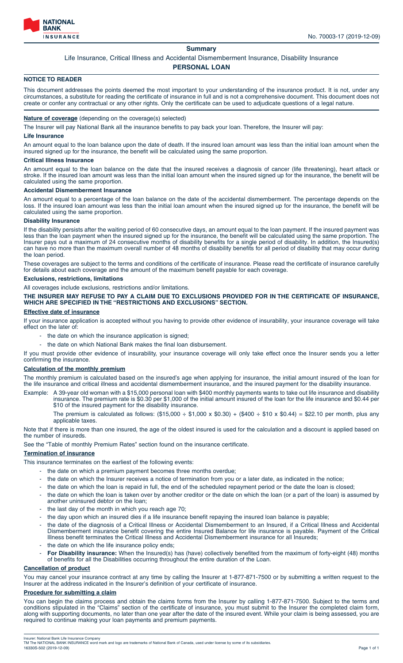

# **Summary**

# Life Insurance, Critical Illness and Accidental Dismemberment Insurance, Disability Insurance

# **PERSONAL LOAN**

# **NOTICE TO READER**

This document addresses the points deemed the most important to your understanding of the insurance product. It is not, under any circumstances, a substitute for reading the certificate of insurance in full and is not a comprehensive document. This document does not create or confer any contractual or any other rights. Only the certificate can be used to adjudicate questions of a legal nature.

# **Nature of coverage** (depending on the coverage(s) selected)

The Insurer will pay National Bank all the insurance benefits to pay back your loan. Therefore, the Insurer will pay:

#### **Life Insurance**

An amount equal to the loan balance upon the date of death. If the insured loan amount was less than the initial loan amount when the insured signed up for the insurance, the benefit will be calculated using the same proportion.

# **Critical Illness Insurance**

An amount equal to the loan balance on the date that the insured receives a diagnosis of cancer (life threatening), heart attack or stroke. If the insured loan amount was less than the initial loan amount when the insured signed up for the insurance, the benefit will be calculated using the same proportion.

#### **Accidental Dismemberment Insurance**

An amount equal to a percentage of the loan balance on the date of the accidental dismemberment. The percentage depends on the loss. If the insured loan amount was less than the initial loan amount when the insured signed up for the insurance, the benefit will be calculated using the same proportion.

# **Disability Insurance**

If the disability persists after the waiting period of 60 consecutive days, an amount equal to the loan payment. If the insured payment was less than the loan payment when the insured signed up for the insurance, the benefit will be calculated using the same proportion. The Insurer pays out a maximum of 24 consecutive months of disability benefits for a single period of disability. In addition, the Insured(s) can have no more than the maximum overall number of 48 months of disability benefits for all period of disability that may occur during the loan period.

These coverages are subject to the terms and conditions of the certificate of insurance. Please read the certificate of insurance carefully for details about each coverage and the amount of the maximum benefit payable for each coverage.

# **Exclusions, restrictions, limitations**

All coverages include exclusions, restrictions and/or limitations.

**THE INSURER MAY REFUSE TO PAY A CLAIM DUE TO EXCLUSIONS PROVIDED FOR IN THE CERTIFICATE OF INSURANCE, WHICH ARE SPECIFIED IN THE "RESTRICTIONS AND EXCLUSIONS" SECTION.**

# **Effective date of insurance**

If your insurance application is accepted without you having to provide other evidence of insurability, your insurance coverage will take effect on the later of:

- the date on which the insurance application is signed;
- the date on which National Bank makes the final loan disbursement.
- If you must provide other evidence of insurability, your insurance coverage will only take effect once the Insurer sends you a letter confirming the insurance.

# **Calculation of the monthly premium**

The monthly premium is calculated based on the insured's age when applying for insurance, the initial amount insured of the loan for the life insurance and critical illness and accidental dismemberment insurance, and the insured payment for the disability insurance.

- Example: A 39-year old woman with a \$15,000 personal loan with \$400 monthly payments wants to take out life insurance and disability insurance. The premium rate is \$0.30 per \$1,000 of the initial amount insured of the loan for the life insurance and \$0.44 per \$10 of the insured payment for the disability insurance.
	- The premium is calculated as follows:  $(\$15,000 \div \$1,000 \times \$0.30) + (\$400 \div \$10 \times \$0.44) = \$22.10$  per month, plus any applicable taxes.

Note that if there is more than one insured, the age of the oldest insured is used for the calculation and a discount is applied based on the number of insureds.

See the "Table of monthly Premium Rates" section found on the insurance certificate.

# **Termination of insurance**

This insurance terminates on the earliest of the following events:

- the date on which a premium payment becomes three months overdue;
- the date on which the Insurer receives a notice of termination from you or a later date, as indicated in the notice;
- the date on which the loan is repaid in full, the end of the scheduled repayment period or the date the loan is closed;
- the date on which the loan is taken over by another creditor or the date on which the loan (or a part of the loan) is assumed by another uninsured debtor on the loan;
- the last day of the month in which you reach age 70;
- the day upon which an insured dies if a life insurance benefit repaying the insured loan balance is payable;
- the date of the diagnosis of a Critical Illness or Accidental Dismemberment to an Insured, if a Critical Illness and Accidental Dismemberment insurance benefit covering the entire Insured Balance for life insurance is payable. Payment of the Critical Illness benefit terminates the Critical Illness and Accidental Dismemberment insurance for all Insureds;
- the date on which the life insurance policy ends;
- **For Disability insurance:** When the Insured(s) has (have) collectively benefited from the maximum of forty-eight (48) months of benefits for all the Disabilities occurring throughout the entire duration of the Loan.

# **Cancellation of product**

You may cancel your insurance contract at any time by calling the Insurer at 1-877-871-7500 or by submitting a written request to the Insurer at the address indicated in the Insurer's definition of your certificate of insurance.

# **Procedure for submitting a claim**

You can begin the claims process and obtain the claims forms from the Insurer by calling 1-877-871-7500. Subject to the terms and conditions stipulated in the "Claims" section of the certificate of insurance, you must submit to the Insurer the completed claim form, along with supporting documents, no later than one year after the date of the insured event. While your claim is being assessed, you are required to continue making your loan payments and premium payments.

Insurer: National Bank Life Insurance Company<br>TM The NATIONAL BANK INSURANCE word mark and logo are trademarks of National Bank of Canada, used under license by some of its subsidiaries.<br>16330S-502 (2019-12-09) Page 1 of 1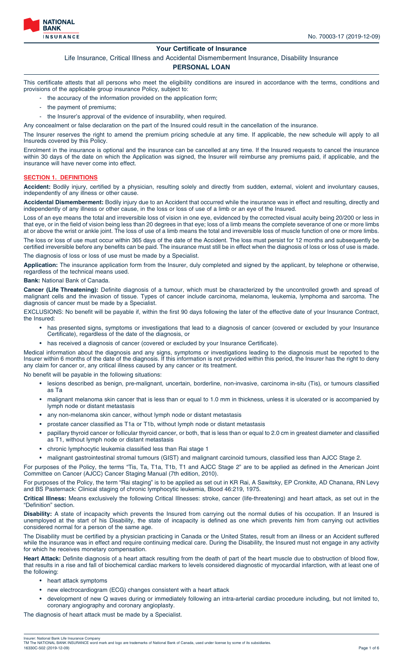

# **Your Certificate of Insurance**

Life Insurance, Critical Illness and Accidental Dismemberment Insurance, Disability Insurance

# **PERSONAL LOAN**

This certificate attests that all persons who meet the eligibility conditions are insured in accordance with the terms, conditions and provisions of the applicable group insurance Policy, subject to:

- the accuracy of the information provided on the application form;
- the payment of premiums;
- the Insurer's approval of the evidence of insurability, when required.

Any concealment or false declaration on the part of the Insured could result in the cancellation of the insurance.

The Insurer reserves the right to amend the premium pricing schedule at any time. If applicable, the new schedule will apply to all Insureds covered by this Policy.

Enrolment in the insurance is optional and the insurance can be cancelled at any time. If the Insured requests to cancel the insurance within 30 days of the date on which the Application was signed, the Insurer will reimburse any premiums paid, if applicable, and the insurance will have never come into effect.

# **SECTION 1. DEFINITIONS**

**Accident:** Bodily injury, certified by a physician, resulting solely and directly from sudden, external, violent and involuntary causes, independently of any illness or other cause.

**Accidental Dismemberment:** Bodily injury due to an Accident that occurred while the insurance was in effect and resulting, directly and independently of any illness or other cause, in the loss or loss of use of a limb or an eye of the Insured.

Loss of an eye means the total and irreversible loss of vision in one eye, evidenced by the corrected visual acuity being 20/200 or less in that eye, or in the field of vision being less than 20 degrees in that eye; loss of a limb means the complete severance of one or more limbs at or above the wrist or ankle joint. The loss of use of a limb means the total and irreversible loss of muscle function of one or more limbs.

The loss or loss of use must occur within 365 days of the date of the Accident. The loss must persist for 12 months and subsequently be certified irreversible before any benefits can be paid. The insurance must still be in effect when the diagnosis of loss or loss of use is made.

The diagnosis of loss or loss of use must be made by a Specialist.

**Application:** The insurance application form from the Insurer, duly completed and signed by the applicant, by telephone or otherwise, regardless of the technical means used.

#### **Bank:** National Bank of Canada.

**Cancer (Life Threatening):** Definite diagnosis of a tumour, which must be characterized by the uncontrolled growth and spread of malignant cells and the invasion of tissue. Types of cancer include carcinoma, melanoma, leukemia, lymphoma and sarcoma. The diagnosis of cancer must be made by a Specialist.

EXCLUSIONS: No benefit will be payable if, within the first 90 days following the later of the effective date of your Insurance Contract, the Insured:

- has presented signs, symptoms or investigations that lead to a diagnosis of cancer (covered or excluded by your Insurance Certificate), regardless of the date of the diagnosis, or
- has received a diagnosis of cancer (covered or excluded by your Insurance Certificate).

Medical information about the diagnosis and any signs, symptoms or investigations leading to the diagnosis must be reported to the Insurer within 6 months of the date of the diagnosis. If this information is not provided within this period, the Insurer has the right to deny any claim for cancer or, any critical illness caused by any cancer or its treatment.

No benefit will be payable in the following situations:

- lesions described as benign, pre-malignant, uncertain, borderline, non-invasive, carcinoma in-situ (Tis), or tumours classified as Ta
- malignant melanoma skin cancer that is less than or equal to 1.0 mm in thickness, unless it is ulcerated or is accompanied by lymph node or distant metastasis
- any non-melanoma skin cancer, without lymph node or distant metastasis
- prostate cancer classified as T1a or T1b, without lymph node or distant metastasis
- papillary thyroid cancer or follicular thyroid cancer, or both, that is less than or equal to 2.0 cm in greatest diameter and classified as T1, without lymph node or distant metastasis
- chronic lymphocytic leukemia classified less than Rai stage 1
- malignant gastrointestinal stromal tumours (GIST) and malignant carcinoid tumours, classified less than AJCC Stage 2.

For purposes of the Policy, the terms "Tis, Ta, T1a, T1b, T1 and AJCC Stage 2" are to be applied as defined in the American Joint Committee on Cancer (AJCC) Cancer Staging Manual (7th edition, 2010).

For purposes of the Policy, the term "Rai staging" is to be applied as set out in KR Rai, A Sawitsky, EP Cronkite, AD Chanana, RN Levy and BS Pasternack: Clinical staging of chronic lymphocytic leukemia, Blood 46:219, 1975.

**Critical Illness:** Means exclusively the following Critical Illnesses: stroke, cancer (life-threatening) and heart attack, as set out in the "Definition" section.

**Disability:** A state of incapacity which prevents the Insured from carrying out the normal duties of his occupation. If an Insured is unemployed at the start of his Disability, the state of incapacity is defined as one which prevents him from carrying out activities considered normal for a person of the same age.

The Disability must be certified by a physician practicing in Canada or the United States, result from an illness or an Accident suffered while the insurance was in effect and require continuing medical care. During the Disability, the Insured must not engage in any activity for which he receives monetary compensation.

**Heart Attack:** Definite diagnosis of a heart attack resulting from the death of part of the heart muscle due to obstruction of blood flow, that results in a rise and fall of biochemical cardiac markers to levels considered diagnostic of myocardial infarction, with at least one of the following:

- heart attack symptoms
- new electrocardiogram (ECG) changes consistent with a heart attack
- development of new Q waves during or immediately following an intra-arterial cardiac procedure including, but not limited to, coronary angiography and coronary angioplasty.

The diagnosis of heart attack must be made by a Specialist.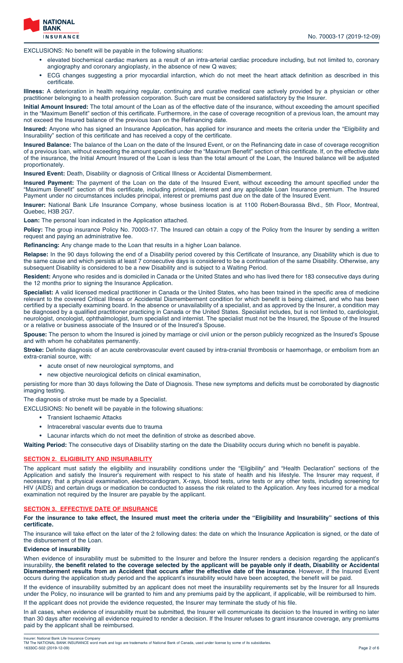

EXCLUSIONS: No benefit will be payable in the following situations:

- elevated biochemical cardiac markers as a result of an intra-arterial cardiac procedure including, but not limited to, coronary angiography and coronary angioplasty, in the absence of new Q waves;
- ECG changes suggesting a prior myocardial infarction, which do not meet the heart attack definition as described in this certificate.

**Illness:** A deterioration in health requiring regular, continuing and curative medical care actively provided by a physician or other practitioner belonging to a health profession corporation. Such care must be considered satisfactory by the Insurer.

**Initial Amount Insured:** The total amount of the Loan as of the effective date of the insurance, without exceeding the amount specified in the "Maximum Benefit" section of this certificate. Furthermore, in the case of coverage recognition of a previous loan, the amount may not exceed the Insured balance of the previous loan on the Refinancing date.

**Insured:** Anyone who has signed an Insurance Application, has applied for insurance and meets the criteria under the "Eligibility and Insurability" section of this certificate and has received a copy of the certificate.

**Insured Balance:** The balance of the Loan on the date of the Insured Event, or on the Refinancing date in case of coverage recognition of a previous loan, without exceeding the amount specified under the "Maximum Benefit" section of this certificate. If, on the effective date of the insurance, the Initial Amount Insured of the Loan is less than the total amount of the Loan, the Insured balance will be adjusted proportionately.

**Insured Event:** Death, Disability or diagnosis of Critical Illness or Accidental Dismemberment.

**Insured Payment:** The payment of the Loan on the date of the Insured Event, without exceeding the amount specified under the "Maximum Benefit" section of this certificate, including principal, interest and any applicable Loan Insurance premium. The Insured Payment under no circumstances includes principal, interest or premiums past due on the date of the Insured Event.

**Insurer:** National Bank Life Insurance Company, whose business location is at 1100 Robert-Bourassa Blvd., 5th Floor, Montreal, Quebec, H3B 2G7.

**Loan:** The personal loan indicated in the Application attached.

Policy: The group insurance Policy No. 70003-17. The Insured can obtain a copy of the Policy from the Insurer by sending a written request and paying an administrative fee.

**Refinancing:** Any change made to the Loan that results in a higher Loan balance.

**Relapse:** In the 90 days following the end of a Disability period covered by this Certificate of Insurance, any Disability which is due to the same cause and which persists at least 7 consecutive days is considered to be a continuation of the same Disability. Otherwise, any subsequent Disability is considered to be a new Disability and is subject to a Waiting Period.

**Resident:** Anyone who resides and is domiciled in Canada or the United States and who has lived there for 183 consecutive days during the 12 months prior to signing the Insurance Application.

**Specialist:** A valid licensed medical practitioner in Canada or the United States, who has been trained in the specific area of medicine relevant to the covered Critical Illness or Accidental Dismemberment condition for which benefit is being claimed, and who has been certified by a specialty examining board. In the absence or unavailability of a specialist, and as approved by the Insurer, a condition may be diagnosed by a qualified practitioner practicing in Canada or the United States. Specialist includes, but is not limited to, cardiologist, neurologist, oncologist, ophthalmologist, burn specialist and internist. The specialist must not be the Insured, the Spouse of the Insured or a relative or business associate of the Insured or of the Insured's Spouse.

**Spouse:** The person to whom the Insured is joined by marriage or civil union or the person publicly recognized as the Insured's Spouse and with whom he cohabitates permanently.

**Stroke:** Definite diagnosis of an acute cerebrovascular event caused by intra-cranial thrombosis or haemorrhage, or embolism from an extra-cranial source, with:

- acute onset of new neurological symptoms, and
- new objective neurological deficits on clinical examination,

persisting for more than 30 days following the Date of Diagnosis. These new symptoms and deficits must be corroborated by diagnostic imaging testing.

The diagnosis of stroke must be made by a Specialist.

EXCLUSIONS: No benefit will be payable in the following situations:

- Transient Ischaemic Attacks
- Intracerebral vascular events due to trauma
- Lacunar infarcts which do not meet the definition of stroke as described above.

**Waiting Period:** The consecutive days of Disability starting on the date the Disability occurs during which no benefit is payable.

# **SECTION 2. ELIGIBILITY AND INSURABILITY**

The applicant must satisfy the eligibility and insurability conditions under the "Eligibility" and "Health Declaration" sections of the Application and satisfy the Insurer's requirement with respect to his state of health and his lifestyle. The Insurer may request, if necessary, that a physical examination, electrocardiogram, X-rays, blood tests, urine tests or any other tests, including screening for HIV (AIDS) and certain drugs or medication be conducted to assess the risk related to the Application. Any fees incurred for a medical examination not required by the Insurer are payable by the applicant.

#### **SECTION 3. EFFECTIVE DATE OF INSURANCE**

**For the insurance to take effect, the Insured must meet the criteria under the "Eligibility and Insurability" sections of this certificate.**

The insurance will take effect on the later of the 2 following dates: the date on which the Insurance Application is signed, or the date of the disbursement of the Loan.

# **Evidence of insurability**

When evidence of insurability must be submitted to the Insurer and before the Insurer renders a decision regarding the applicant's insurability, **the benefit related to the coverage selected by the applicant will be payable only if death, Disability or Accidental Dismemberment results from an Accident that occurs after the effective date of the insurance**. However, if the Insured Event occurs during the application study period and the applicant's insurability would have been accepted, the benefit will be paid.

If the evidence of insurability submitted by an applicant does not meet the insurability requirements set by the Insurer for all Insureds under the Policy, no insurance will be granted to him and any premiums paid by the applicant, if applicable, will be reimbursed to him.

If the applicant does not provide the evidence requested, the Insurer may terminate the study of his file.

In all cases, when evidence of insurability must be submitted, the Insurer will communicate its decision to the Insured in writing no later than 30 days after receiving all evidence required to render a decision. If the Insurer refuses to grant insurance coverage, any premiums paid by the applicant shall be reimbursed.

Insurer: National Bank Life Insurance Company<br>TM The NATIONAL BANK INSURANCE word mark and logo are trademarks of National Bank of Canada, used under license by some of its subsidiaries.<br>16330C-502 (2019-12-09) Page 2 of 6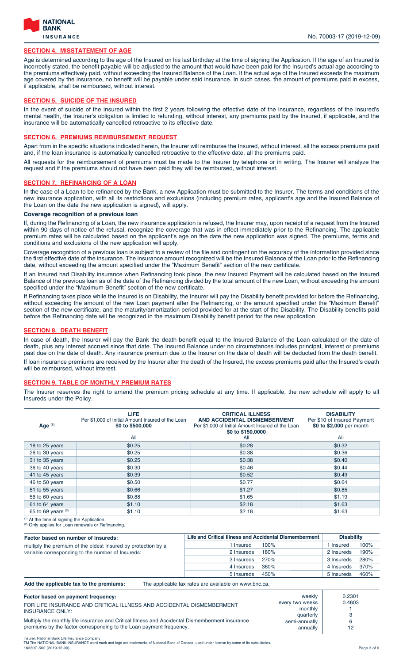

# **SECTION 4. MISSTATEMENT OF AGE**

Age is determined according to the age of the Insured on his last birthday at the time of signing the Application. If the age of an Insured is incorrectly stated, the benefit payable will be adjusted to the amount that would have been paid for the Insured's actual age according to the premiums effectively paid, without exceeding the Insured Balance of the Loan. If the actual age of the Insured exceeds the maximum age covered by the insurance, no benefit will be payable under said insurance. In such cases, the amount of premiums paid in excess, if applicable, shall be reimbursed, without interest.

# **SECTION 5. SUICIDE OF THE INSURED**

In the event of suicide of the Insured within the first 2 years following the effective date of the insurance, regardless of the Insured's mental health, the Insurer's obligation is limited to refunding, without interest, any premiums paid by the Insured, if applicable, and the insurance will be automatically cancelled retroactive to its effective date.

#### **SECTION 6. PREMIUMS REIMBURSEMENT REQUEST**

Apart from in the specific situations indicated herein, the Insurer will reimburse the Insured, without interest, all the excess premiums paid and, if the loan insurance is automatically cancelled retroactive to the effective date, all the premiums paid.

All requests for the reimbursement of premiums must be made to the Insurer by telephone or in writing. The Insurer will analyze the request and if the premiums should not have been paid they will be reimbursed, without interest.

#### **SECTION 7. REFINANCING OF A LOAN**

In the case of a Loan to be refinanced by the Bank, a new Application must be submitted to the Insurer. The terms and conditions of the new insurance application, with all its restrictions and exclusions (including premium rates, applicant's age and the Insured Balance of the Loan on the date the new application is signed), will apply.

# **Coverage recognition of a previous loan**

If, during the Refinancing of a Loan, the new insurance application is refused, the Insurer may, upon receipt of a request from the Insured within 90 days of notice of the refusal, recognize the coverage that was in effect immediately prior to the Refinancing. The applicable premium rates will be calculated based on the applicant's age on the date the new application was signed. The premiums, terms and conditions and exclusions of the new application will apply.

Coverage recognition of a previous loan is subject to a review of the file and contingent on the accuracy of the information provided since the first effective date of the insurance. The insurance amount recognized will be the Insured Balance of the Loan prior to the Refinancing date, without exceeding the amount specified under the "Maximum Benefit" section of the new certificate.

If an Insured had Disability insurance when Refinancing took place, the new Insured Payment will be calculated based on the Insured Balance of the previous loan as of the date of the Refinancing divided by the total amount of the new Loan, without exceeding the amount specified under the "Maximum Benefit" section of the new certificate.

If Refinancing takes place while the Insured is on Disability, the Insurer will pay the Disability benefit provided for before the Refinancing, without exceeding the amount of the new Loan payment after the Refinancing, or the amount specified under the "Maximum Benefit" section of the new certificate, and the maturity/amortization period provided for at the start of the Disability. The Disability benefits paid before the Refinancing date will be recognized in the maximum Disability benefit period for the new application.

#### **SECTION 8. DEATH BENEFIT**

In case of death, the Insurer will pay the Bank the death benefit equal to the Insured Balance of the Loan calculated on the date of death, plus any interest accrued since that date. The Insured Balance under no circumstances includes principal, interest or premiums past due on the date of death. Any insurance premium due to the Insurer on the date of death will be deducted from the death benefit. If loan insurance premiums are received by the Insurer after the death of the Insured, the excess premiums paid after the Insured's death will be reimbursed, without interest.

# **SECTION 9. TABLE OF MONTHLY PREMIUM RATES**

The Insurer reserves the right to amend the premium pricing schedule at any time. If applicable, the new schedule will apply to all Insureds under the Policy.

| Age (1)            | <b>LIFE</b><br>Per \$1,000 of Initial Amount Insured of the Loan<br>\$0 to \$500,000 | <b>CRITICAL ILLNESS</b><br><b>AND ACCIDENTAL DISMEMBERMENT</b><br>Per \$1,000 of Initial Amount Insured of the Loan<br>\$0 to \$150,0000 | <b>DISABILITY</b><br>Per \$10 of Insured Payment<br>\$0 to \$2,000 per month |
|--------------------|--------------------------------------------------------------------------------------|------------------------------------------------------------------------------------------------------------------------------------------|------------------------------------------------------------------------------|
|                    | All                                                                                  | All                                                                                                                                      | All                                                                          |
| 18 to 25 years     | \$0.25                                                                               | \$0.28                                                                                                                                   | \$0.32                                                                       |
| 26 to 30 years     | \$0.25                                                                               | \$0.38                                                                                                                                   | \$0.36                                                                       |
| 31 to 35 years     | \$0.25                                                                               | \$0.38                                                                                                                                   | \$0.40                                                                       |
| 36 to 40 years     | \$0.30                                                                               | \$0.46                                                                                                                                   | \$0.44                                                                       |
| 41 to 45 years     | \$0.39                                                                               | \$0.52                                                                                                                                   | \$0.49                                                                       |
| 46 to 50 years     | \$0.50                                                                               | \$0.77                                                                                                                                   | \$0.64                                                                       |
| 51 to 55 years     | \$0.66                                                                               | \$1.27                                                                                                                                   | \$0.85                                                                       |
| 56 to 60 years     | \$0.88                                                                               | \$1.65                                                                                                                                   | \$1.19                                                                       |
| 61 to 64 years     | \$1.10                                                                               | \$2.18                                                                                                                                   | \$1.63                                                                       |
| 65 to 69 years (2) | \$1.10                                                                               | \$2.18                                                                                                                                   | \$1.63                                                                       |

Only applies for Loan renewals or Refinancing.

| Factor based on number of insureds:                           | Life and Critical Illness and Accidental Dismemberment |      | <b>Disability</b> |      |
|---------------------------------------------------------------|--------------------------------------------------------|------|-------------------|------|
| multiply the premium of the oldest Insured by protection by a | l Insured                                              | 100% | l Insured         | 100% |
| variable corresponding to the number of Insureds:             | 2 Insureds                                             | 180% | 2 Insureds        | 190% |
|                                                               | 3 Insureds                                             | 270% | 3 Insureds        | 280% |
|                                                               | 4 Insureds                                             | 360% | 4 Insureds        | 370% |
|                                                               | 5 Insureds                                             | 450% | 5 Insureds        | 460% |

**Add the applicable tax to the premiums:** The applicable tax rates are available on www.bnc.ca.

| FOR LIFE INSURANCE AND CRITICAL ILLNESS AND ACCIDENTAL DISMEMBERMENT<br><b>INSURANCE ONLY:</b><br>Multiply the monthly life insurance and Critical Illness and Accidental Dismemberment insurance<br>premiums by the factor corresponding to the Loan payment frequency. | every two weeks<br>monthly<br>quarterly<br>semi-annually<br>annually | 0.4603 |
|--------------------------------------------------------------------------------------------------------------------------------------------------------------------------------------------------------------------------------------------------------------------------|----------------------------------------------------------------------|--------|
|--------------------------------------------------------------------------------------------------------------------------------------------------------------------------------------------------------------------------------------------------------------------------|----------------------------------------------------------------------|--------|

Insurer: National Bank Life Insurance Co<br>IM The NATIONAL BANK INSURANCE TM The NATIONAL BANK INSURANCE word mark and logo are trademarks of National Bank of Canada, used under license by some of its subsidiaries. 16330C-502 (2019-12-09) Page 3 of 6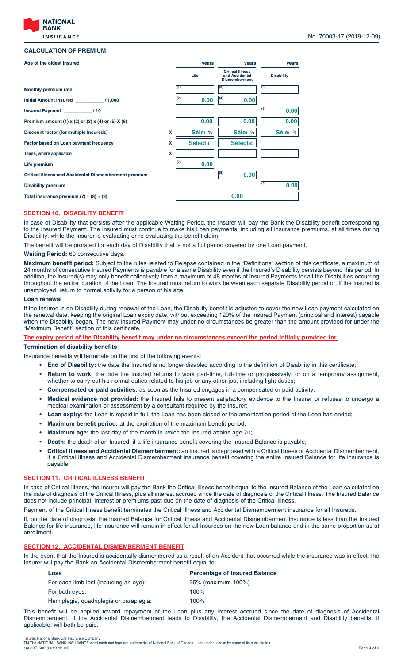

# **CALCULATION OF PREMIUM**

#### **(1) (3) (5) (2) (7) (4) (8) (6) (9) X % years years years % % X X Discount factor (for multiple Insureds) Monthly premium rate Age of the oldest Insured Initial Amount Insured \_\_\_\_\_\_\_\_\_\_\_ / 1,000 Insured Payment \_\_\_\_\_\_\_\_\_\_\_ / 10 Premium amount (1) x (2) or (3) x (4) or (5) X (6) Factor based on Loan payment frequency Taxes, where applicable Life premium Critical Illness and Accidental Dismemberment premium Disability premium Total insurance premium (7) + (8) + (9) Critical Illness and Accidental Dismemberment Life Disability**  $\begin{array}{ccc} 0.00 & |^{(4)} & 0.00 \end{array}$ **0.00 0.00 0.00 0.00**  $\textsf{Sélec}~\%~||~\textsf{Sélec}~\%||~\textsf{Sélec}~\%||$ Sélectic | **Sélectic 0.00 0.00 0.00 0.00**

# **SECTION 10. DISABILITY BENEFIT**

In case of Disability that persists after the applicable Waiting Period, the Insurer will pay the Bank the Disability benefit corresponding to the Insured Payment. The Insured must continue to make his Loan payments, including all insurance premiums, at all times during Disability, while the Insurer is evaluating or re-evaluating the benefit claim.

The benefit will be prorated for each day of Disability that is not a full period covered by one Loan payment.

# **Waiting Period:** 60 consecutive days.

**Maximum benefit period:** Subject to the rules related to Relapse contained in the "Definitions" section of this certificate, a maximum of 24 months of consecutive Insured Payments is payable for a same Disability even if the Insured's Disability persists beyond this period. In addition, the lnsured(s) may only benefit collectively from a maximum of 48 months of Insured Payments for all the Disabilities occurring throughout the entire duration of the Loan. The Insured must return to work between each separate Disability period or, if the Insured is unemployed, return to normal activity for a person of his age.

#### **Loan renewal**

If the Insured is on Disability during renewal of the Loan, the Disability benefit is adjusted to cover the new Loan payment calculated on the renewal date, keeping the original Loan expiry date, without exceeding 120% of the Insured Payment (principal and interest) payable when the Disability began. The new Insured Payment may under no circumstances be greater than the amount provided for under the "Maximum Benefit" section of this certificate.

# **The expiry period of the Disability benefit may under no circumstances exceed the period initially provided for.**

# **Termination of disability benefits**

Insurance benefits will terminate on the first of the following events:

- **End of Disability:** the date the Insured is no longer disabled according to the definition of Disability in this certificate;
- **Return to work:** the date the Insured returns to work part-time, full-time or progressively, or on a temporary assignment, whether to carry out his normal duties related to his job or any other job, including light duties;
- **Compensated or paid activities:** as soon as the Insured engages in a compensated or paid activity;
- **Medical evidence not provided:** the Insured fails to present satisfactory evidence to the Insurer or refuses to undergo a medical examination or assessment by a consultant required by the Insurer;
- **Loan expiry:** the Loan is repaid in full, the Loan has been closed or the amortization period of the Loan has ended;
- **Maximum benefit period:** at the expiration of the maximum benefit period;
- **Maximum age:** the last day of the month in which the Insured attains age 70;
- **Death:** the death of an Insured, if a life insurance benefit covering the Insured Balance is payable;
- **Critical Illness and Accidental Dismemberment:** an Insured is diagnosed with a Critical Illness or Accidental Dismemberment, if a Critical Illness and Accidental Dismemberment insurance benefit covering the entire Insured Balance for life insurance is payable.

# **SECTION 11. CRITICAL ILLNESS BENEFIT**

In case of Critical Illness, the Insurer will pay the Bank the Critical Illness benefit equal to the Insured Balance of the Loan calculated on the date of diagnosis of the Critical Illness, plus all interest accrued since the date of diagnosis of the Critical Illness. The Insured Balance does not include principal, interest or premiums past due on the date of diagnosis of the Critical Illness.

Payment of the Critical Illness benefit terminates the Critical Illness and Accidental Dismemberment insurance for all Insureds.

If, on the date of diagnosis, the Insured Balance for Critical Illness and Accidental Dismemberment insurance is less than the Insured Balance for life insurance, life insurance will remain in effect for all Insureds on the new Loan balance and in the same proportion as at enrollment.

#### **SECTION 12. ACCIDENTAL DISMEMBERMENT BENEFIT**

In the event that the Insured is accidentally dismembered as a result of an Accident that occurred while the insurance was in effect, the Insurer will pay the Bank an Accidental Dismemberment benefit equal to:

| Loss                                    | <b>Percentage of Insured Balance</b> |  |
|-----------------------------------------|--------------------------------------|--|
| For each limb lost (including an eye):  | 25% (maximum 100%)                   |  |
| For both eyes:                          | $100\%$                              |  |
| Hemiplegia, guadriplegia or paraplegia: | $100\%$                              |  |
|                                         |                                      |  |

This benefit will be applied toward repayment of the Loan plus any interest accrued since the date of diagnosis of Accidental Dismemberment. If the Accidental Dismemberment leads to Disability, the Accidental Dismemberment and Disability benefits, if applicable, will both be paid.

Insurer: National Bank Life Insurance Company<br>TM The NATIONAL BANK INSURANCE word mark and logo are trademarks of National Bank of Canada, used under license by some of its subsidiaries.<br>16330C-502 (2019-12-09) Page 4 of 6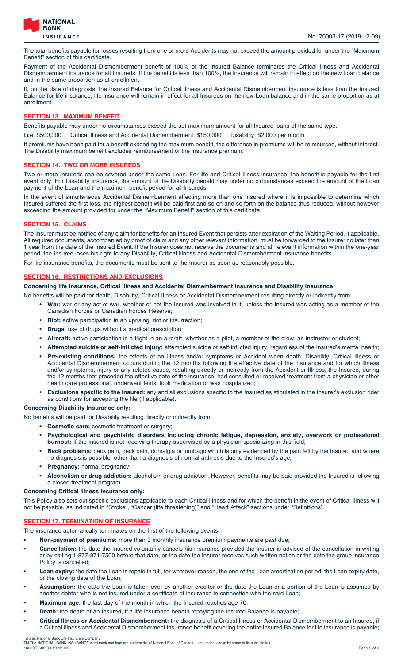

The total benefits payable for losses resulting from one or more Accidents may not exceed the amount provided for under the "Maximum Benefit" section of this certificate.

Payment of the Accidental Dismemberment benefit of 100% of the Insured Balance terminates the Critical Illness and Accidental Dismemberment insurance for all Insureds. If the benefit is less than 100%, the insurance will remain in effect on the new Loan balance and in the same proportion as at enrollment.

If, on the date of diagnosis, the Insured Balance for Critical Illness and Accidental Dismemberment insurance is less than the Insured Balance for life insurance, life insurance will remain in effect for all Insureds on the new Loan balance and in the same proportion as at enrollment.

# **SECTION 13. MAXIMUM BENEFIT**

Benefits payable may under no circumstances exceed the set maximum amount for all Insured loans of the same type.

Life: \$500,000 Critical Illness and Accidental Dismemberment: \$150,000 Disability: \$2,000 per month

If premiums have been paid for a benefit exceeding the maximum benefit, the difference in premiums will be reimbursed, without interest. The Disability maximum benefit excludes reimbursement of the insurance premium.

# **SECTION 14. TWO OR MORE INSUREDS**

Two or more Insureds can be covered under the same Loan. For life and Critical Illness insurance, the benefit is payable for the first event only. For Disability Insurance, the amount of the Disability benefit may under no circumstances exceed the amount of the Loan payment of the Loan and the maximum benefit period for all Insureds.

In the event of simultaneous Accidental Dismemberment affecting more than one Insured where it is impossible to determine which Insured suffered the first loss, the highest benefit will be paid first and so on and so forth on the balance thus reduced, without however exceeding the amount provided for under the "Maximum Benefit" section of this certificate.

# **SECTION 15. CLAIMS**

The Insurer must be notified of any claim for benefits for an Insured Event that persists after expiration of the Waiting Period, if applicable. All required documents, accompanied by proof of claim and any other relevant information, must be forwarded to the Insurer no later than 1 year from the date of the Insured Event. If the Insurer does not receive the documents and all relevant information within the one-year period, the Insured loses his right to any Disability, Critical Illness and Accidental Dismemberment insurance benefits.

For life insurance benefits, the documents must be sent to the Insurer as soon as reasonably possible.

# **SECTION 16. RESTRICTIONS AND EXCLUSIONS**

# **Concerning life insurance, Critical Illness and Accidental Dismemberment insurance and Disability insurance:**

No benefits will be paid for death, Disability, Critical Illness or Accidental Dismemberment resulting directly or indirectly from:

- **War:** war or any act of war, whether or not the Insured was involved in it, unless the Insured was acting as a member of the Canadian Forces or Canadian Forces Reserve;
- **Riot:** active participation in an uprising, riot or insurrection;
- **Drugs**: use of drugs without a medical prescription;
- **Aircraft:** active participation in a flight in an aircraft, whether as a pilot, a member of the crew, an instructor or student;
- **Attempted suicide or self-inflicted injury:** attempted suicide or self-inflicted injury, regardless of the Insured's mental health;
- **Pre-existing conditions:** the effects of an Illness and/or symptoms or Accident when death, Disability, Critical Illness or Accidental Dismemberment occurs during the 12 months following the effective date of the insurance and for which Illness and/or symptoms, injury or any related cause, resulting directly or indirectly from the Accident or Illness, the Insured, during the 12 months that preceded the effective date of the insurance, had consulted or received treatment from a physician or other health care professional, underwent tests, took medication or was hospitalized;
- **Exclusions specific to the Insured:** any and all exclusions specific to the Insured as stipulated in the Insurer's exclusion rider as conditions for accepting the file (if applicable).

# **Concerning Disability Insurance only:**

No benefits will be paid for Disability resulting directly or indirectly from:

- **Cosmetic care:** cosmetic treatment or surgery;
- **Psychological and psychiatric disorders including chronic fatigue, depression, anxiety, overwork or professional burnout:** if the Insured is not receiving therapy supervised by a physician specializing in this field;
- **Back problems:** back pain, neck pain, dorsalgia or lumbago which is only evidenced by the pain felt by the Insured and where no diagnosis is possible, other than a diagnosis of normal arthrosis due to the Insured's age;
- **Pregnancy:** normal pregnancy;
- **Alcoholism or drug addiction:** alcoholism or drug addiction. However, benefits may be paid provided the Insured is following a closed treatment program.

# **Concerning Critical Illness Insurance only:**

This Policy also sets out specific exclusions applicable to each Critical Illness and for which the benefit in the event of Critical Illness will not be payable, as indicated in "Stroke", "Cancer (life threatening)" and "Heart Attack" sections under "Definitions".

# **SECTION 17. TERMINATION OF INSURANCE**

The insurance automatically terminates on the first of the following events:

- **Non-payment of premiums:** more than 3 monthly insurance premium payments are past due;
- **Cancellation:** the date the Insured voluntarily cancels his insurance provided the Insurer is advised of the cancellation in writing or by calling 1-877-871-7500 before that date, or the date the Insurer receives such written notice or the date the group insurance Policy is cancelled;
- Loan expiry: the date the Loan is repaid in full, for whatever reason, the end of the Loan amortization period, the Loan expiry date, or the closing date of the Loan;
- **Assumption:** the date the Loan is taken over by another creditor or the date the Loan or a portion of the Loan is assumed by another debtor who is not insured under a certificate of insurance in connection with the said Loan;
- **Maximum age:** the last day of the month in which the Insured reaches age 70;
- **Death:** the death of an Insured, if a life insurance benefit repaying the Insured Balance is payable;
- **Critical Illness or Accidental Dismemberment:** the diagnosis of a Critical Illness or Accidental Dismemberment to an Insured, if a Critical Illness and Accidental Dismemberment insurance benefit covering the entire Insured Balance for life insurance is payable;

Insurer: National Bank Life Insurance Company<br>TM The NATIONAL BANK INSURANCE word mark and logo are trademarks of National Bank of Canada, used under license by some of its subsidiaries.<br>16330C-502 (2019-12-09) Page 5 of 6